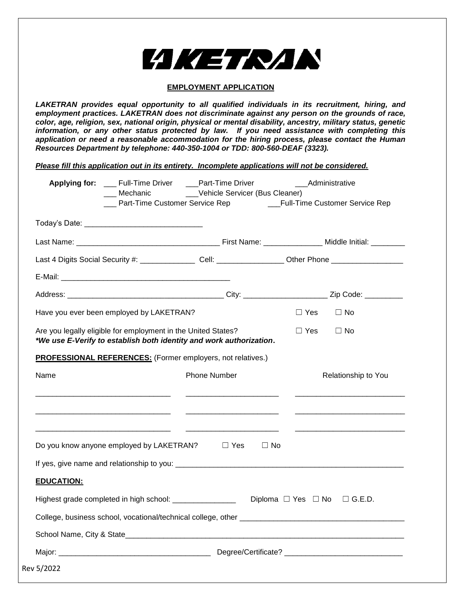

### **EMPLOYMENT APPLICATION**

*LAKETRAN provides equal opportunity to all qualified individuals in its recruitment, hiring, and employment practices. LAKETRAN does not discriminate against any person on the grounds of race, color, age, religion, sex, national origin, physical or mental disability, ancestry, military status, genetic information, or any other status protected by law. If you need assistance with completing this application or need a reasonable accommodation for the hiring process, please contact the Human Resources Department by telephone: 440-350-1004 or TDD: 800-560-DEAF (3323).* 

*Please fill this application out in its entirety. Incomplete applications will not be considered.*

| <b>Applying for:</b> ___ Full-Time Driver ___Part-Time Driver                                                                                                                                       | ___ Mechanic ___________Vehicle Servicer (Bus Cleaner) |                     |  | Administrative      |                                            |
|-----------------------------------------------------------------------------------------------------------------------------------------------------------------------------------------------------|--------------------------------------------------------|---------------------|--|---------------------|--------------------------------------------|
|                                                                                                                                                                                                     |                                                        |                     |  |                     |                                            |
|                                                                                                                                                                                                     |                                                        |                     |  |                     |                                            |
| Last 4 Digits Social Security #: ________________ Cell: _________________ Other Phone ____________________                                                                                          |                                                        |                     |  |                     |                                            |
|                                                                                                                                                                                                     |                                                        |                     |  |                     |                                            |
|                                                                                                                                                                                                     |                                                        |                     |  |                     |                                            |
|                                                                                                                                                                                                     | Have you ever been employed by LAKETRAN?               |                     |  | $\Box$ Yes          | $\Box$ No                                  |
| Are you legally eligible for employment in the United States?<br>*We use E-Verify to establish both identity and work authorization.<br>PROFESSIONAL REFERENCES: (Former employers, not relatives.) |                                                        |                     |  | $\Box$ Yes          | $\Box$ No                                  |
| Name<br>the contract of the contract of the contract of the contract of the contract of<br><u> 1989 - Andrea Andrews, amerikansk politik (</u>                                                      |                                                        | <b>Phone Number</b> |  | Relationship to You |                                            |
| <u> 1980 - Jan Stein Harry Harry Harry Harry Harry Harry Harry Harry Harry Harry Harry Harry Harry Harry</u><br>Do you know anyone employed by LAKETRAN? $\Box$ Yes $\Box$ No                       |                                                        |                     |  |                     |                                            |
| <b>EDUCATION:</b>                                                                                                                                                                                   |                                                        |                     |  |                     |                                            |
| Highest grade completed in high school: ________________                                                                                                                                            |                                                        |                     |  |                     | Diploma $\Box$ Yes $\Box$ No $\Box$ G.E.D. |
|                                                                                                                                                                                                     |                                                        |                     |  |                     |                                            |
|                                                                                                                                                                                                     |                                                        |                     |  |                     |                                            |
|                                                                                                                                                                                                     |                                                        |                     |  |                     |                                            |
| Rev 5/2022                                                                                                                                                                                          |                                                        |                     |  |                     |                                            |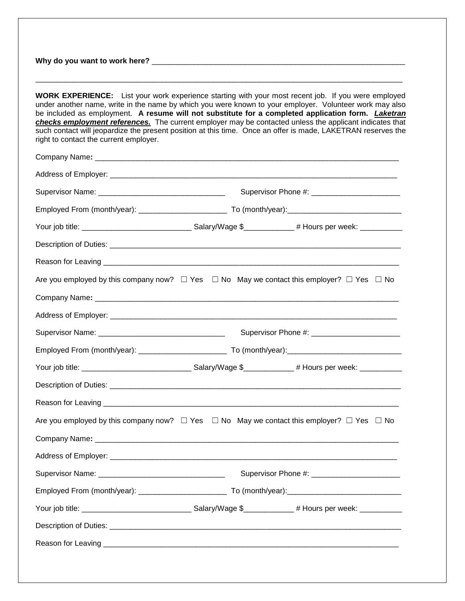**Why do you want to work here?** \_\_\_\_\_\_\_\_\_\_\_\_\_\_\_\_\_\_\_\_\_\_\_\_\_\_\_\_\_\_\_\_\_\_\_\_\_\_\_\_\_\_\_\_\_\_\_\_\_\_\_\_\_\_\_\_\_\_\_\_

**WORK EXPERIENCE:** List your work experience starting with your most recent job. If you were employed under another name, write in the name by which you were known to your employer. Volunteer work may also be included as employment. **A resume will not substitute for a completed application form.** *Laketran checks employment references.* The current employer may be contacted unless the applicant indicates that such contact will jeopardize the present position at this time. Once an offer is made, LAKETRAN reserves the right to contact the current employer.

\_\_\_\_\_\_\_\_\_\_\_\_\_\_\_\_\_\_\_\_\_\_\_\_\_\_\_\_\_\_\_\_\_\_\_\_\_\_\_\_\_\_\_\_\_\_\_\_\_\_\_\_\_\_\_\_\_\_\_\_\_\_\_\_\_\_\_\_\_\_\_\_\_\_\_\_\_\_\_\_\_\_\_\_\_\_\_

|                                                                                                                | Supervisor Phone #: _________________________   |                                               |  |  |  |
|----------------------------------------------------------------------------------------------------------------|-------------------------------------------------|-----------------------------------------------|--|--|--|
|                                                                                                                |                                                 |                                               |  |  |  |
| Your job title: ___________________________________Salary/Wage \$______________# Hours per week: _____________ |                                                 |                                               |  |  |  |
|                                                                                                                |                                                 |                                               |  |  |  |
|                                                                                                                |                                                 |                                               |  |  |  |
| Are you employed by this company now? $\Box$ Yes $\Box$ No May we contact this employer? $\Box$ Yes $\Box$ No  |                                                 |                                               |  |  |  |
|                                                                                                                |                                                 |                                               |  |  |  |
|                                                                                                                |                                                 |                                               |  |  |  |
|                                                                                                                | Supervisor Phone #: ___________________________ |                                               |  |  |  |
|                                                                                                                |                                                 |                                               |  |  |  |
|                                                                                                                |                                                 |                                               |  |  |  |
|                                                                                                                |                                                 |                                               |  |  |  |
|                                                                                                                |                                                 |                                               |  |  |  |
|                                                                                                                |                                                 |                                               |  |  |  |
| Are you employed by this company now? $\Box$ Yes $\Box$ No May we contact this employer? $\Box$ Yes $\Box$ No  |                                                 |                                               |  |  |  |
|                                                                                                                |                                                 |                                               |  |  |  |
|                                                                                                                |                                                 |                                               |  |  |  |
|                                                                                                                |                                                 | Supervisor Phone #: _________________________ |  |  |  |
|                                                                                                                |                                                 |                                               |  |  |  |
|                                                                                                                |                                                 |                                               |  |  |  |
|                                                                                                                |                                                 |                                               |  |  |  |
|                                                                                                                |                                                 |                                               |  |  |  |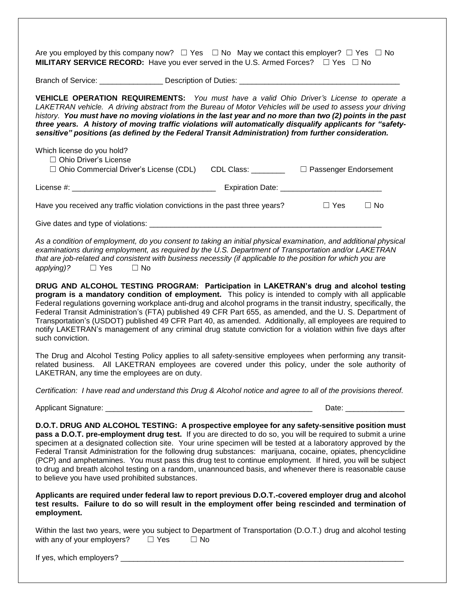| Are you employed by this company now? $\Box$ Yes $\Box$ No May we contact this employer? $\Box$ Yes $\Box$ No<br><b>MILITARY SERVICE RECORD:</b> Have you ever served in the U.S. Armed Forces? $\square$ Yes $\square$ No                                                                                                                                                                                                                                                                                                                                                                                                                                                                                                   |  |  |  |  |  |  |  |
|------------------------------------------------------------------------------------------------------------------------------------------------------------------------------------------------------------------------------------------------------------------------------------------------------------------------------------------------------------------------------------------------------------------------------------------------------------------------------------------------------------------------------------------------------------------------------------------------------------------------------------------------------------------------------------------------------------------------------|--|--|--|--|--|--|--|
|                                                                                                                                                                                                                                                                                                                                                                                                                                                                                                                                                                                                                                                                                                                              |  |  |  |  |  |  |  |
| VEHICLE OPERATION REQUIREMENTS: You must have a valid Ohio Driver's License to operate a<br>LAKETRAN vehicle. A driving abstract from the Bureau of Motor Vehicles will be used to assess your driving<br>history. You must have no moving violations in the last year and no more than two (2) points in the past<br>three years. A history of moving traffic violations will automatically disqualify applicants for "safety-<br>sensitive" positions (as defined by the Federal Transit Administration) from further consideration.                                                                                                                                                                                       |  |  |  |  |  |  |  |
| Which license do you hold?<br>□ Ohio Driver's License<br>□ Ohio Commercial Driver's License (CDL) CDL Class: ________ □ Passenger Endorsement                                                                                                                                                                                                                                                                                                                                                                                                                                                                                                                                                                                |  |  |  |  |  |  |  |
|                                                                                                                                                                                                                                                                                                                                                                                                                                                                                                                                                                                                                                                                                                                              |  |  |  |  |  |  |  |
| $\Box$ No<br>Have you received any traffic violation convictions in the past three years?<br>$\Box$ Yes                                                                                                                                                                                                                                                                                                                                                                                                                                                                                                                                                                                                                      |  |  |  |  |  |  |  |
|                                                                                                                                                                                                                                                                                                                                                                                                                                                                                                                                                                                                                                                                                                                              |  |  |  |  |  |  |  |
| As a condition of employment, do you consent to taking an initial physical examination, and additional physical<br>examinations during employment, as required by the U.S. Department of Transportation and/or LAKETRAN<br>that are job-related and consistent with business necessity (if applicable to the position for which you are<br>applying)? □ Yes<br>$\Box$ No                                                                                                                                                                                                                                                                                                                                                     |  |  |  |  |  |  |  |
| DRUG AND ALCOHOL TESTING PROGRAM: Participation in LAKETRAN's drug and alcohol testing<br>program is a mandatory condition of employment. This policy is intended to comply with all applicable<br>Federal regulations governing workplace anti-drug and alcohol programs in the transit industry, specifically, the<br>Federal Transit Administration's (FTA) published 49 CFR Part 655, as amended, and the U. S. Department of<br>Transportation's (USDOT) published 49 CFR Part 40, as amended. Additionally, all employees are required to<br>notify LAKETRAN's management of any criminal drug statute conviction for a violation within five days after<br>such conviction.                                           |  |  |  |  |  |  |  |
|                                                                                                                                                                                                                                                                                                                                                                                                                                                                                                                                                                                                                                                                                                                              |  |  |  |  |  |  |  |
| The Drug and Alcohol Testing Policy applies to all safety-sensitive employees when performing any transit-<br>related business. All LAKETRAN employees are covered under this policy, under the sole authority of<br>LAKETRAN, any time the employees are on duty.                                                                                                                                                                                                                                                                                                                                                                                                                                                           |  |  |  |  |  |  |  |
| Certification: I have read and understand this Drug & Alcohol notice and agree to all of the provisions thereof.                                                                                                                                                                                                                                                                                                                                                                                                                                                                                                                                                                                                             |  |  |  |  |  |  |  |
| Date: the contract of the contract of the contract of the contract of the contract of the contract of the contract of the contract of the contract of the contract of the contract of the contract of the contract of the cont                                                                                                                                                                                                                                                                                                                                                                                                                                                                                               |  |  |  |  |  |  |  |
| D.O.T. DRUG AND ALCOHOL TESTING: A prospective employee for any safety-sensitive position must<br>pass a D.O.T. pre-employment drug test. If you are directed to do so, you will be required to submit a urine<br>specimen at a designated collection site. Your urine specimen will be tested at a laboratory approved by the<br>Federal Transit Administration for the following drug substances: marijuana, cocaine, opiates, phencyclidine<br>(PCP) and amphetamines. You must pass this drug test to continue employment. If hired, you will be subject<br>to drug and breath alcohol testing on a random, unannounced basis, and whenever there is reasonable cause<br>to believe you have used prohibited substances. |  |  |  |  |  |  |  |
| Applicants are required under federal law to report previous D.O.T.-covered employer drug and alcohol<br>test results. Failure to do so will result in the employment offer being rescinded and termination of<br>employment.                                                                                                                                                                                                                                                                                                                                                                                                                                                                                                |  |  |  |  |  |  |  |

If yes, which employers? \_\_\_\_\_\_\_\_\_\_\_\_\_\_\_\_\_\_\_\_\_\_\_\_\_\_\_\_\_\_\_\_\_\_\_\_\_\_\_\_\_\_\_\_\_\_\_\_\_\_\_\_\_\_\_\_\_\_\_\_\_\_\_\_\_\_\_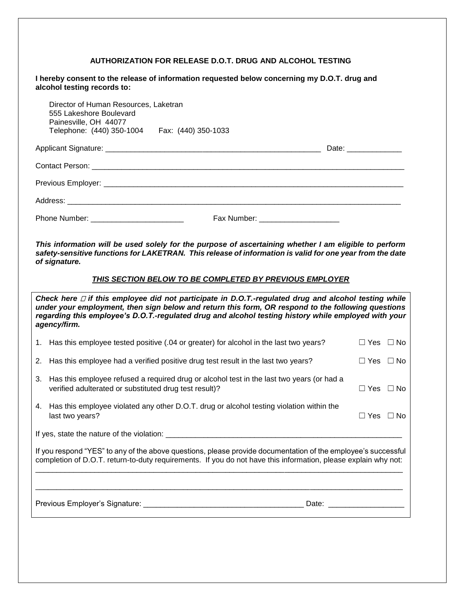# **AUTHORIZATION FOR RELEASE D.O.T. DRUG AND ALCOHOL TESTING**

| I hereby consent to the release of information requested below concerning my D.O.T. drug and<br>alcohol testing records to:                                                                                                                                                                                                             |  |
|-----------------------------------------------------------------------------------------------------------------------------------------------------------------------------------------------------------------------------------------------------------------------------------------------------------------------------------------|--|
| Director of Human Resources, Laketran<br>555 Lakeshore Boulevard<br>Painesville, OH 44077<br>Telephone: (440) 350-1004    Fax: (440) 350-1033                                                                                                                                                                                           |  |
|                                                                                                                                                                                                                                                                                                                                         |  |
|                                                                                                                                                                                                                                                                                                                                         |  |
|                                                                                                                                                                                                                                                                                                                                         |  |
|                                                                                                                                                                                                                                                                                                                                         |  |
| Fax Number: ______________________                                                                                                                                                                                                                                                                                                      |  |
| This information will be used solely for the purpose of ascertaining whether I am eligible to perform<br>safety-sensitive functions for LAKETRAN. This release of information is valid for one year from the date<br>of signature.                                                                                                      |  |
| THIS SECTION BELOW TO BE COMPLETED BY PREVIOUS EMPLOYER                                                                                                                                                                                                                                                                                 |  |
| Check here $\Box$ if this employee did not participate in D.O.T.-regulated drug and alcohol testing while<br>under your employment, then sign below and return this form, OR respond to the following questions<br>regarding this employee's D.O.T.-regulated drug and alcohol testing history while employed with your<br>agency/firm. |  |
| 1. Has this employee tested positive (.04 or greater) for alcohol in the last two years?<br>$\Box$ Yes $\Box$ No                                                                                                                                                                                                                        |  |
| 2. Has this employee had a verified positive drug test result in the last two years?<br>$\Box$ Yes $\Box$ No                                                                                                                                                                                                                            |  |
| Has this employee refused a required drug or alcohol test in the last two years (or had a<br>3.<br>verified adulterated or substituted drug test result)?<br>$\Box$ Yes $\Box$ No                                                                                                                                                       |  |
| 4. Has this employee violated any other D.O.T. drug or alcohol testing violation within the<br>last two years?<br>$\Box$ Yes $\Box$ No                                                                                                                                                                                                  |  |
|                                                                                                                                                                                                                                                                                                                                         |  |
| If you respond "YES" to any of the above questions, please provide documentation of the employee's successful<br>completion of D.O.T. return-to-duty requirements. If you do not have this information, please explain why not:                                                                                                         |  |
|                                                                                                                                                                                                                                                                                                                                         |  |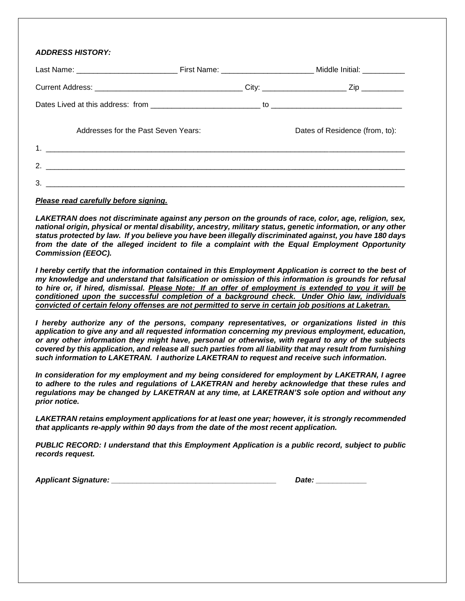## *ADDRESS HISTORY:*

| Addresses for the Past Seven Years: |  | Dates of Residence (from, to): |
|-------------------------------------|--|--------------------------------|
|                                     |  |                                |
|                                     |  |                                |
|                                     |  |                                |

### *Please read carefully before signing.*

*LAKETRAN does not discriminate against any person on the grounds of race, color, age, religion, sex, national origin, physical or mental disability, ancestry, military status, genetic information, or any other status protected by law. If you believe you have been illegally discriminated against, you have 180 days from the date of the alleged incident to file a complaint with the Equal Employment Opportunity Commission (EEOC).*

*I* hereby certify that the information contained in this Employment Application is correct to the best of *my knowledge and understand that falsification or omission of this information is grounds for refusal to hire or, if hired, dismissal. Please Note: If an offer of employment is extended to you it will be conditioned upon the successful completion of a background check. Under Ohio law, individuals convicted of certain felony offenses are not permitted to serve in certain job positions at Laketran.*

*I hereby authorize any of the persons, company representatives, or organizations listed in this application to give any and all requested information concerning my previous employment, education, or any other information they might have, personal or otherwise, with regard to any of the subjects covered by this application, and release all such parties from all liability that may result from furnishing such information to LAKETRAN. I authorize LAKETRAN to request and receive such information.* 

*In consideration for my employment and my being considered for employment by LAKETRAN, I agree to adhere to the rules and regulations of LAKETRAN and hereby acknowledge that these rules and regulations may be changed by LAKETRAN at any time, at LAKETRAN'S sole option and without any prior notice.* 

*LAKETRAN retains employment applications for at least one year; however, it is strongly recommended that applicants re-apply within 90 days from the date of the most recent application.* 

*PUBLIC RECORD: I understand that this Employment Application is a public record, subject to public records request.*

*Applicant Signature: \_\_\_\_\_\_\_\_\_\_\_\_\_\_\_\_\_\_\_\_\_\_\_\_\_\_\_\_\_\_\_\_\_\_\_\_\_\_\_ Date: \_\_\_\_\_\_\_\_\_\_\_\_*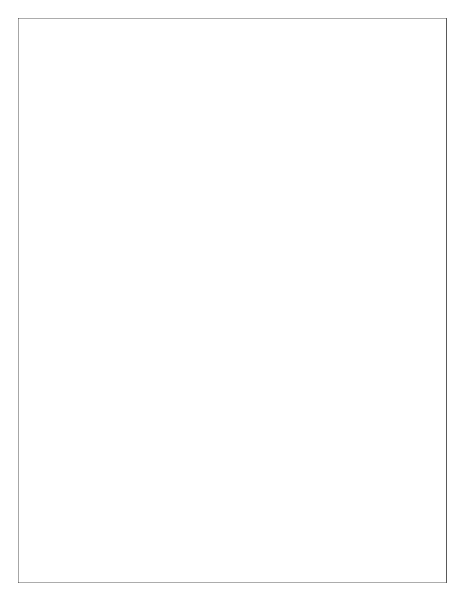